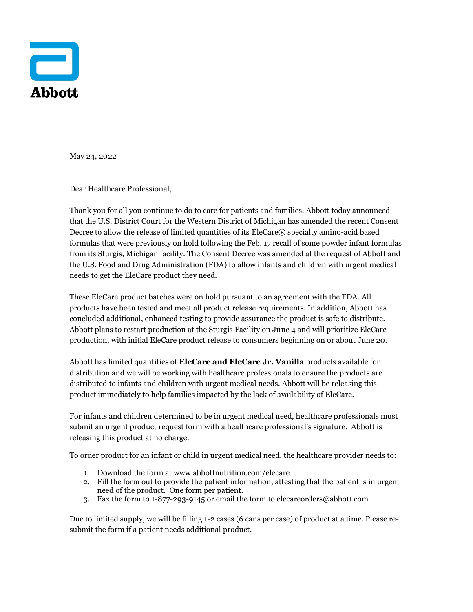

May 24, 2022

Dear Healthcare Professional,

Thank you for all you continue to do to care for patients and families. Abbott today announced that the U.S. District Court for the Western District of Michigan has amended the recent Consent Decree to allow the release of limited quantities of its EleCare® specialty amino-acid based formulas that were previously on hold following the Feb. 17 recall of some powder infant formulas from its Sturgis, Michigan facility. The Consent Decree was amended at the request of Abbott and the U.S. Food and Drug Administration (FDA) to allow infants and children with urgent medical needs to get the EleCare product they need.

These EleCare product batches were on hold pursuant to an agreement with the FDA. All products have been tested and meet all product release requirements. In addition, Abbott has concluded additional, enhanced testing to provide assurance the product is safe to distribute. Abbott plans to restart production at the Sturgis Facility on June 4 and will prioritize EleCare production, with initial EleCare product release to consumers beginning on or about June 20.

Abbott has limited quantities of **EleCare and EleCare Jr. Vanilla** products available for distribution and we will be working with healthcare professionals to ensure the products are distributed to infants and children with urgent medical needs. Abbott will be releasing this product immediately to help families impacted by the lack of availability of EleCare.

For infants and children determined to be in urgent medical need, healthcare professionals must submit an urgent product request form with a healthcare professional's signature. Abbott is releasing this product at no charge.

To order product for an infant or child in urgent medical need, the healthcare provider needs to:

- 1. Download the form at [www.abbottnutrition.com/elecare](http://www.abbottnutrition.com/elecares)
- 2. Fill the form out to provide the patient information, attesting that the patient is in urgent need of the product. One form per patient.
- 3. Fax the form to 1-877-293-9145 or email the form to elecareorders@abbott.com

Due to limited supply, we will be filling 1-2 cases (6 cans per case) of product at a time. Please resubmit the form if a patient needs additional product.